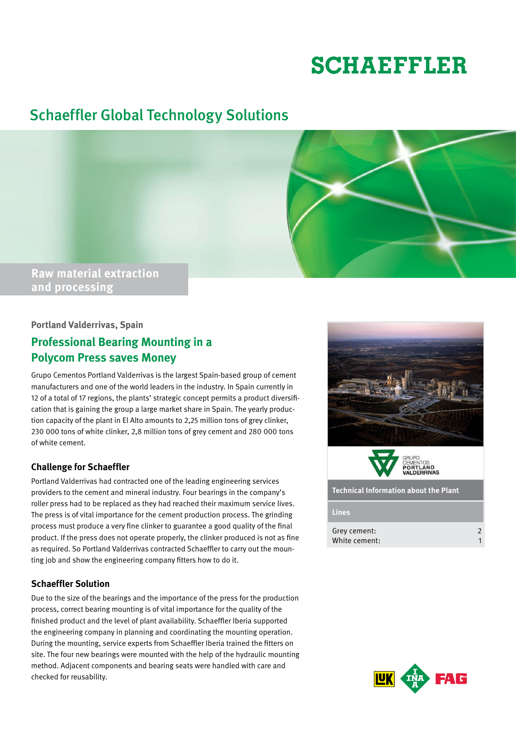# **SCHAEFFLER**

## Schaeffler Global Technology Solutions



#### **Portland Valderrivas, Spain**

### **Professional Bearing Mounting in a Polycom Press saves Money**

Grupo Cementos Portland Valderrivas is the largest Spain-based group of cement manufacturers and one of the world leaders in the industry. In Spain currently in 12 of a total of 17 regions, the plants' strategic concept permits a product diversification that is gaining the group a large market share in Spain. The yearly production capacity of the plant in El Alto amounts to 2,25 million tons of grey clinker, 230 000 tons of white clinker, 2,8 million tons of grey cement and 280 000 tons of white cement.

#### **Challenge for Schaeffler**

Portland Valderrivas had contracted one of the leading engineering services providers to the cement and mineral industry. Four bearings in the company's roller press had to be replaced as they had reached their maximum service lives. The press is of vital importance for the cement production process. The grinding process must produce a very fine clinker to guarantee a good quality of the final product. If the press does not operate properly, the clinker produced is not as fine as required. So Portland Valderrivas contracted Schaeffler to carry out the mounting job and show the engineering company fitters how to do it.

#### **Schaeffler Solution**

Due to the size of the bearings and the importance of the press for the production process, correct bearing mounting is of vital importance for the quality of the finished product and the level of plant availability. Schaeffler Iberia supported the engineering company in planning and coordinating the mounting operation. During the mounting, service experts from Schaeffler Iberia trained the fitters on site. The four new bearings were mounted with the help of the hydraulic mounting method. Adjacent components and bearing seats were handled with care and checked for reusability.